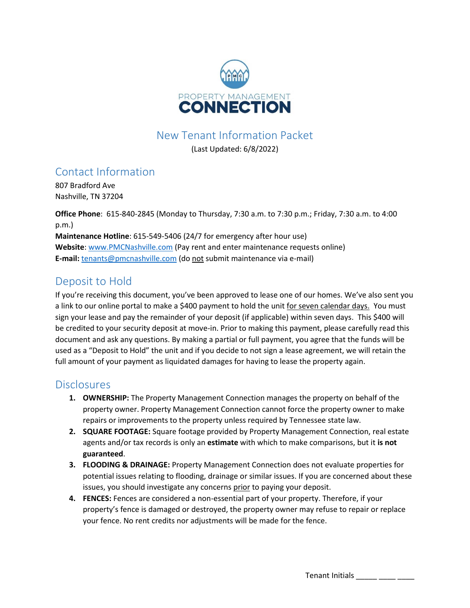

## New Tenant Information Packet

(Last Updated: 6/8/2022)

## Contact Information

807 Bradford Ave Nashville, TN 37204

**Office Phone**: 615-840-2845 (Monday to Thursday, 7:30 a.m. to 7:30 p.m.; Friday, 7:30 a.m. to 4:00 p.m.) **Maintenance Hotline**: 615-549-5406 (24/7 for emergency after hour use) **Website**: [www.PMCNashville.com](http://www.pmcnashville.com/) (Pay rent and enter maintenance requests online) **E-mail:** [tenants@pmcnashville.com](mailto:tenants@pmcnashville.com) (do not submit maintenance via e-mail)

## Deposit to Hold

If you're receiving this document, you've been approved to lease one of our homes. We've also sent you a link to our online portal to make a \$400 payment to hold the unit for seven calendar days. You must sign your lease and pay the remainder of your deposit (if applicable) within seven days. This \$400 will be credited to your security deposit at move-in. Prior to making this payment, please carefully read this document and ask any questions. By making a partial or full payment, you agree that the funds will be used as a "Deposit to Hold" the unit and if you decide to not sign a lease agreement, we will retain the full amount of your payment as liquidated damages for having to lease the property again.

### **Disclosures**

- **1. OWNERSHIP:** The Property Management Connection manages the property on behalf of the property owner. Property Management Connection cannot force the property owner to make repairs or improvements to the property unless required by Tennessee state law.
- **2. SQUARE FOOTAGE:** Square footage provided by Property Management Connection, real estate agents and/or tax records is only an **estimate** with which to make comparisons, but it **is not guaranteed**.
- **3. FLOODING & DRAINAGE:** Property Management Connection does not evaluate properties for potential issues relating to flooding, drainage or similar issues. If you are concerned about these issues, you should investigate any concerns prior to paying your deposit.
- **4. FENCES:** Fences are considered a non-essential part of your property. Therefore, if your property's fence is damaged or destroyed, the property owner may refuse to repair or replace your fence. No rent credits nor adjustments will be made for the fence.

Tenant Initials \_\_\_\_\_ \_\_\_\_ \_\_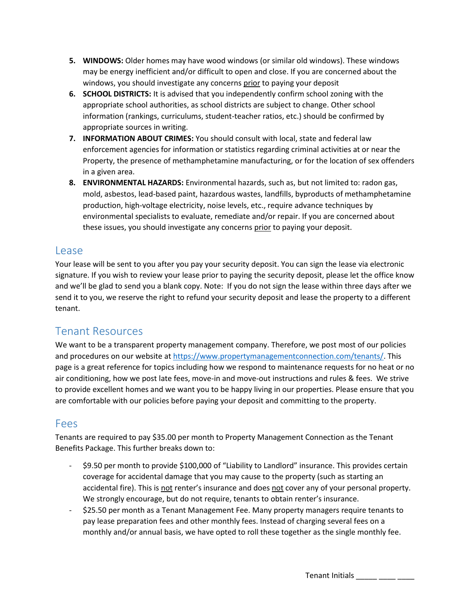- **5. WINDOWS:** Older homes may have wood windows (or similar old windows). These windows may be energy inefficient and/or difficult to open and close. If you are concerned about the windows, you should investigate any concerns prior to paying your deposit
- **6. SCHOOL DISTRICTS:** It is advised that you independently confirm school zoning with the appropriate school authorities, as school districts are subject to change. Other school information (rankings, curriculums, student-teacher ratios, etc.) should be confirmed by appropriate sources in writing.
- **7. INFORMATION ABOUT CRIMES:** You should consult with local, state and federal law enforcement agencies for information or statistics regarding criminal activities at or near the Property, the presence of methamphetamine manufacturing, or for the location of sex offenders in a given area.
- **8. ENVIRONMENTAL HAZARDS:** Environmental hazards, such as, but not limited to: radon gas, mold, asbestos, lead-based paint, hazardous wastes, landfills, byproducts of methamphetamine production, high-voltage electricity, noise levels, etc., require advance techniques by environmental specialists to evaluate, remediate and/or repair. If you are concerned about these issues, you should investigate any concerns prior to paying your deposit.

#### Lease

Your lease will be sent to you after you pay your security deposit. You can sign the lease via electronic signature. If you wish to review your lease prior to paying the security deposit, please let the office know and we'll be glad to send you a blank copy. Note: If you do not sign the lease within three days after we send it to you, we reserve the right to refund your security deposit and lease the property to a different tenant.

## Tenant Resources

We want to be a transparent property management company. Therefore, we post most of our policies and procedures on our website a[t https://www.propertymanagementconnection.com/tenants/.](https://www.propertymanagementconnection.com/tenants/) This page is a great reference for topics including how we respond to maintenance requests for no heat or no air conditioning, how we post late fees, move-in and move-out instructions and rules & fees. We strive to provide excellent homes and we want you to be happy living in our properties. Please ensure that you are comfortable with our policies before paying your deposit and committing to the property.

### Fees

Tenants are required to pay \$35.00 per month to Property Management Connection as the Tenant Benefits Package. This further breaks down to:

- \$9.50 per month to provide \$100,000 of "Liability to Landlord" insurance. This provides certain coverage for accidental damage that you may cause to the property (such as starting an accidental fire). This is not renter's insurance and does not cover any of your personal property. We strongly encourage, but do not require, tenants to obtain renter's insurance.
- \$25.50 per month as a Tenant Management Fee. Many property managers require tenants to pay lease preparation fees and other monthly fees. Instead of charging several fees on a monthly and/or annual basis, we have opted to roll these together as the single monthly fee.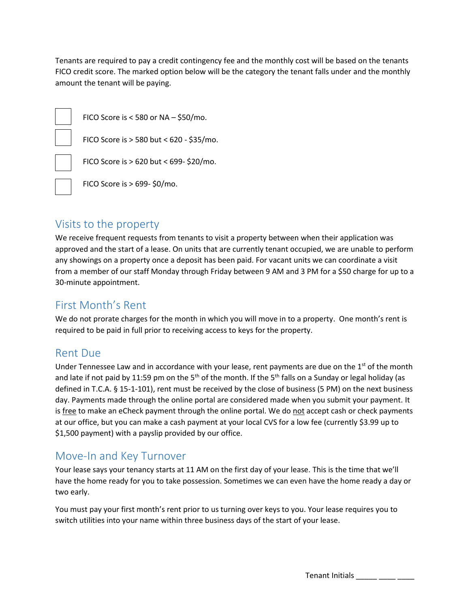Tenants are required to pay a credit contingency fee and the monthly cost will be based on the tenants FICO credit score. The marked option below will be the category the tenant falls under and the monthly amount the tenant will be paying.



FICO Score is  $<$  580 or NA – \$50/mo.

FICO Score is > 580 but < 620 - \$35/mo.

FICO Score is > 620 but < 699- \$20/mo.

FICO Score is > 699- \$0/mo.

## Visits to the property

We receive frequent requests from tenants to visit a property between when their application was approved and the start of a lease. On units that are currently tenant occupied, we are unable to perform any showings on a property once a deposit has been paid. For vacant units we can coordinate a visit from a member of our staff Monday through Friday between 9 AM and 3 PM for a \$50 charge for up to a 30-minute appointment.

## First Month's Rent

We do not prorate charges for the month in which you will move in to a property. One month's rent is required to be paid in full prior to receiving access to keys for the property.

## Rent Due

Under Tennessee Law and in accordance with your lease, rent payments are due on the  $1<sup>st</sup>$  of the month and late if not paid by 11:59 pm on the 5<sup>th</sup> of the month. If the 5<sup>th</sup> falls on a Sunday or legal holiday (as defined in T.C.A. § 15-1-101), rent must be received by the close of business (5 PM) on the next business day. Payments made through the online portal are considered made when you submit your payment. It is free to make an eCheck payment through the online portal. We do not accept cash or check payments at our office, but you can make a cash payment at your local CVS for a low fee (currently \$3.99 up to \$1,500 payment) with a payslip provided by our office.

## Move-In and Key Turnover

Your lease says your tenancy starts at 11 AM on the first day of your lease. This is the time that we'll have the home ready for you to take possession. Sometimes we can even have the home ready a day or two early.

You must pay your first month's rent prior to us turning over keys to you. Your lease requires you to switch utilities into your name within three business days of the start of your lease.

Tenant Initials \_\_\_\_\_ \_\_\_\_ \_\_\_\_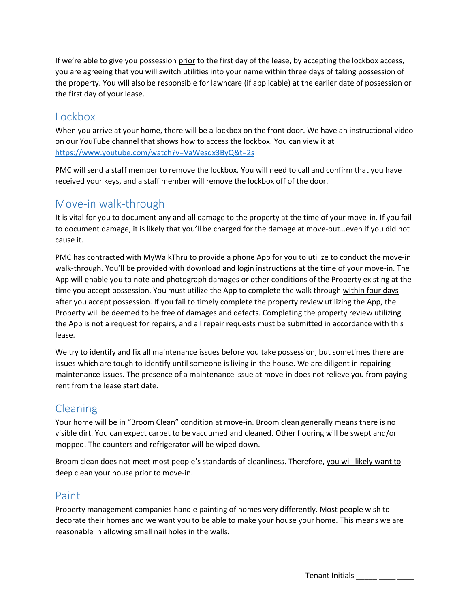If we're able to give you possession prior to the first day of the lease, by accepting the lockbox access, you are agreeing that you will switch utilities into your name within three days of taking possession of the property. You will also be responsible for lawncare (if applicable) at the earlier date of possession or the first day of your lease.

### Lockbox

When you arrive at your home, there will be a lockbox on the front door. We have an instructional video on our YouTube channel that shows how to access the lockbox. You can view it at <https://www.youtube.com/watch?v=VaWesdx3ByQ&t=2s>

PMC will send a staff member to remove the lockbox. You will need to call and confirm that you have received your keys, and a staff member will remove the lockbox off of the door.

## Move-in walk-through

It is vital for you to document any and all damage to the property at the time of your move-in. If you fail to document damage, it is likely that you'll be charged for the damage at move-out…even if you did not cause it.

PMC has contracted with MyWalkThru to provide a phone App for you to utilize to conduct the move-in walk-through. You'll be provided with download and login instructions at the time of your move-in. The App will enable you to note and photograph damages or other conditions of the Property existing at the time you accept possession. You must utilize the App to complete the walk through within four days after you accept possession. If you fail to timely complete the property review utilizing the App, the Property will be deemed to be free of damages and defects. Completing the property review utilizing the App is not a request for repairs, and all repair requests must be submitted in accordance with this lease.

We try to identify and fix all maintenance issues before you take possession, but sometimes there are issues which are tough to identify until someone is living in the house. We are diligent in repairing maintenance issues. The presence of a maintenance issue at move-in does not relieve you from paying rent from the lease start date.

## Cleaning

Your home will be in "Broom Clean" condition at move-in. Broom clean generally means there is no visible dirt. You can expect carpet to be vacuumed and cleaned. Other flooring will be swept and/or mopped. The counters and refrigerator will be wiped down.

Broom clean does not meet most people's standards of cleanliness. Therefore, you will likely want to deep clean your house prior to move-in.

### Paint

Property management companies handle painting of homes very differently. Most people wish to decorate their homes and we want you to be able to make your house your home. This means we are reasonable in allowing small nail holes in the walls.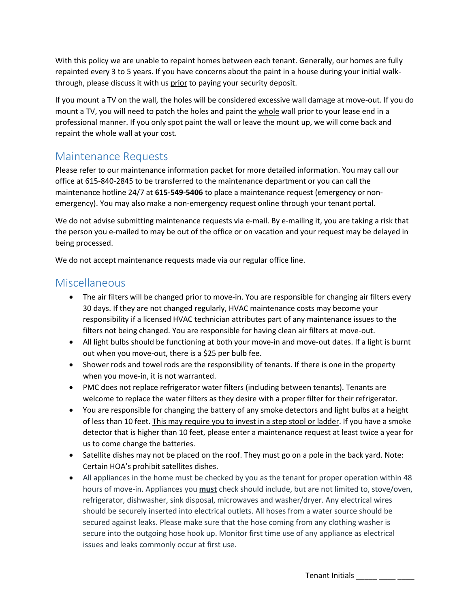With this policy we are unable to repaint homes between each tenant. Generally, our homes are fully repainted every 3 to 5 years. If you have concerns about the paint in a house during your initial walkthrough, please discuss it with us prior to paying your security deposit.

If you mount a TV on the wall, the holes will be considered excessive wall damage at move-out. If you do mount a TV, you will need to patch the holes and paint the whole wall prior to your lease end in a professional manner. If you only spot paint the wall or leave the mount up, we will come back and repaint the whole wall at your cost.

### Maintenance Requests

Please refer to our maintenance information packet for more detailed information. You may call our office at 615-840-2845 to be transferred to the maintenance department or you can call the maintenance hotline 24/7 at **615-549-5406** to place a maintenance request (emergency or nonemergency). You may also make a non-emergency request online through your tenant portal.

We do not advise submitting maintenance requests via e-mail. By e-mailing it, you are taking a risk that the person you e-mailed to may be out of the office or on vacation and your request may be delayed in being processed.

We do not accept maintenance requests made via our regular office line.

#### Miscellaneous

- The air filters will be changed prior to move-in. You are responsible for changing air filters every 30 days. If they are not changed regularly, HVAC maintenance costs may become your responsibility if a licensed HVAC technician attributes part of any maintenance issues to the filters not being changed. You are responsible for having clean air filters at move-out.
- All light bulbs should be functioning at both your move-in and move-out dates. If a light is burnt out when you move-out, there is a \$25 per bulb fee.
- Shower rods and towel rods are the responsibility of tenants. If there is one in the property when you move-in, it is not warranted.
- PMC does not replace refrigerator water filters (including between tenants). Tenants are welcome to replace the water filters as they desire with a proper filter for their refrigerator.
- You are responsible for changing the battery of any smoke detectors and light bulbs at a height of less than 10 feet. This may require you to invest in a step stool or ladder. If you have a smoke detector that is higher than 10 feet, please enter a maintenance request at least twice a year for us to come change the batteries.
- Satellite dishes may not be placed on the roof. They must go on a pole in the back yard. Note: Certain HOA's prohibit satellites dishes.
- All appliances in the home must be checked by you as the tenant for proper operation within 48 hours of move-in. Appliances you **must** check should include, but are not limited to, stove/oven, refrigerator, dishwasher, sink disposal, microwaves and washer/dryer. Any electrical wires should be securely inserted into electrical outlets. All hoses from a water source should be secured against leaks. Please make sure that the hose coming from any clothing washer is secure into the outgoing hose hook up. Monitor first time use of any appliance as electrical issues and leaks commonly occur at first use.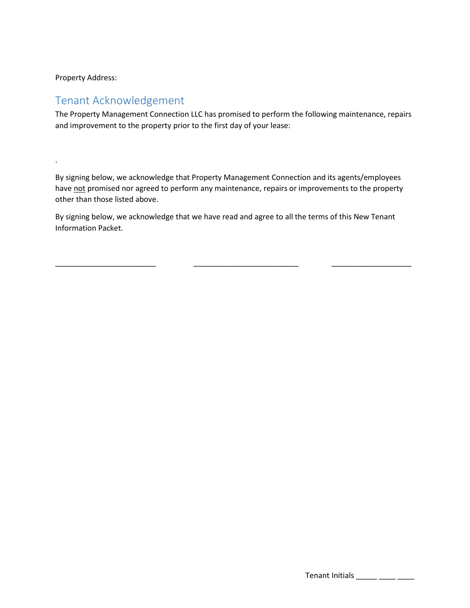Property Address:

.

#### Tenant Acknowledgement

The Property Management Connection LLC has promised to perform the following maintenance, repairs and improvement to the property prior to the first day of your lease:

By signing below, we acknowledge that Property Management Connection and its agents/employees have not promised nor agreed to perform any maintenance, repairs or improvements to the property other than those listed above.

By signing below, we acknowledge that we have read and agree to all the terms of this New Tenant Information Packet.

\_\_\_\_\_\_\_\_\_\_\_\_\_\_\_\_\_\_\_\_\_\_\_\_ \_\_\_\_\_\_\_\_\_\_\_\_\_\_\_\_\_\_\_\_\_\_\_\_\_ \_\_\_\_\_\_\_\_\_\_\_\_\_\_\_\_\_\_\_

Tenant Initials \_\_\_\_\_\_ \_\_\_\_\_ \_\_\_\_\_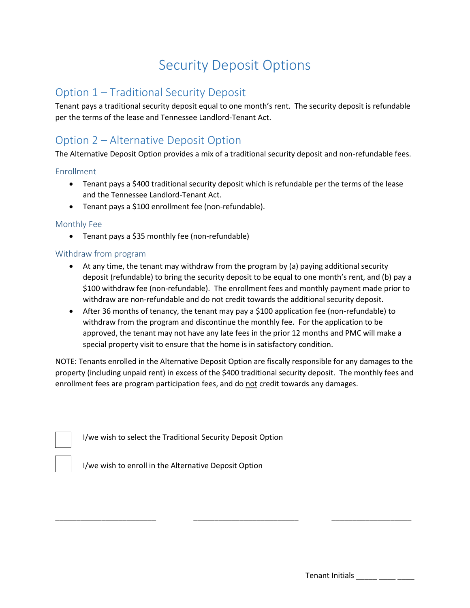# Security Deposit Options

## Option 1 – Traditional Security Deposit

Tenant pays a traditional security deposit equal to one month's rent. The security deposit is refundable per the terms of the lease and Tennessee Landlord-Tenant Act.

## Option 2 – Alternative Deposit Option

The Alternative Deposit Option provides a mix of a traditional security deposit and non-refundable fees.

#### Enrollment

- Tenant pays a \$400 traditional security deposit which is refundable per the terms of the lease and the Tennessee Landlord-Tenant Act.
- Tenant pays a \$100 enrollment fee (non-refundable).

#### Monthly Fee

• Tenant pays a \$35 monthly fee (non-refundable)

#### Withdraw from program

- At any time, the tenant may withdraw from the program by (a) paying additional security deposit (refundable) to bring the security deposit to be equal to one month's rent, and (b) pay a \$100 withdraw fee (non-refundable). The enrollment fees and monthly payment made prior to withdraw are non-refundable and do not credit towards the additional security deposit.
- After 36 months of tenancy, the tenant may pay a \$100 application fee (non-refundable) to withdraw from the program and discontinue the monthly fee. For the application to be approved, the tenant may not have any late fees in the prior 12 months and PMC will make a special property visit to ensure that the home is in satisfactory condition.

NOTE: Tenants enrolled in the Alternative Deposit Option are fiscally responsible for any damages to the property (including unpaid rent) in excess of the \$400 traditional security deposit. The monthly fees and enrollment fees are program participation fees, and do not credit towards any damages.

\_\_\_\_\_\_\_\_\_\_\_\_\_\_\_\_\_\_\_\_\_\_\_\_ \_\_\_\_\_\_\_\_\_\_\_\_\_\_\_\_\_\_\_\_\_\_\_\_\_ \_\_\_\_\_\_\_\_\_\_\_\_\_\_\_\_\_\_\_

I/we wish to select the Traditional Security Deposit Option

I/we wish to enroll in the Alternative Deposit Option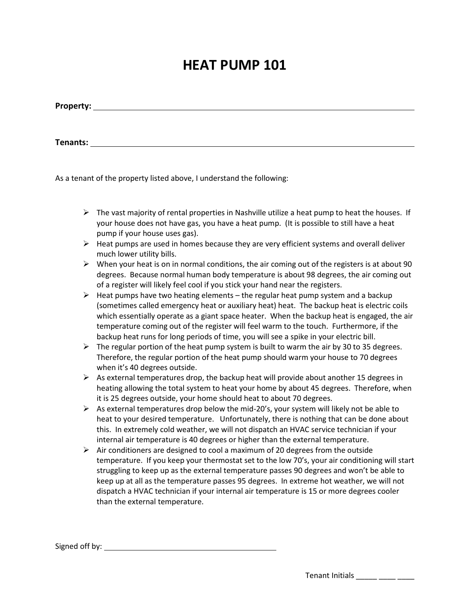## **HEAT PUMP 101**

**Property:** 

**Tenants:** 

As a tenant of the property listed above, I understand the following:

- $\triangleright$  The vast majority of rental properties in Nashville utilize a heat pump to heat the houses. If your house does not have gas, you have a heat pump. (It is possible to still have a heat pump if your house uses gas).
- $\triangleright$  Heat pumps are used in homes because they are very efficient systems and overall deliver much lower utility bills.
- $\triangleright$  When your heat is on in normal conditions, the air coming out of the registers is at about 90 degrees. Because normal human body temperature is about 98 degrees, the air coming out of a register will likely feel cool if you stick your hand near the registers.
- $\triangleright$  Heat pumps have two heating elements the regular heat pump system and a backup (sometimes called emergency heat or auxiliary heat) heat. The backup heat is electric coils which essentially operate as a giant space heater. When the backup heat is engaged, the air temperature coming out of the register will feel warm to the touch. Furthermore, if the backup heat runs for long periods of time, you will see a spike in your electric bill.
- $\triangleright$  The regular portion of the heat pump system is built to warm the air by 30 to 35 degrees. Therefore, the regular portion of the heat pump should warm your house to 70 degrees when it's 40 degrees outside.
- $\triangleright$  As external temperatures drop, the backup heat will provide about another 15 degrees in heating allowing the total system to heat your home by about 45 degrees. Therefore, when it is 25 degrees outside, your home should heat to about 70 degrees.
- $\triangleright$  As external temperatures drop below the mid-20's, your system will likely not be able to heat to your desired temperature. Unfortunately, there is nothing that can be done about this. In extremely cold weather, we will not dispatch an HVAC service technician if your internal air temperature is 40 degrees or higher than the external temperature.
- $\triangleright$  Air conditioners are designed to cool a maximum of 20 degrees from the outside temperature. If you keep your thermostat set to the low 70's, your air conditioning will start struggling to keep up as the external temperature passes 90 degrees and won't be able to keep up at all as the temperature passes 95 degrees. In extreme hot weather, we will not dispatch a HVAC technician if your internal air temperature is 15 or more degrees cooler than the external temperature.

Signed off by: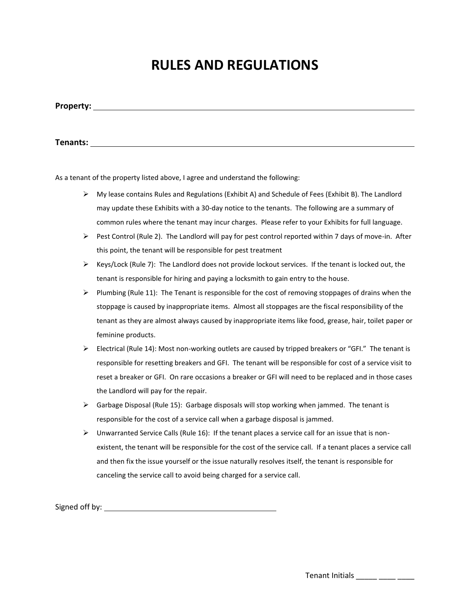# **RULES AND REGULATIONS**

**Property:** 

**Tenants:** 

As a tenant of the property listed above, I agree and understand the following:

- $\triangleright$  My lease contains Rules and Regulations (Exhibit A) and Schedule of Fees (Exhibit B). The Landlord may update these Exhibits with a 30-day notice to the tenants. The following are a summary of common rules where the tenant may incur charges. Please refer to your Exhibits for full language.
- ➢ Pest Control (Rule 2). The Landlord will pay for pest control reported within 7 days of move-in. After this point, the tenant will be responsible for pest treatment
- $\triangleright$  Keys/Lock (Rule 7): The Landlord does not provide lockout services. If the tenant is locked out, the tenant is responsible for hiring and paying a locksmith to gain entry to the house.
- $\triangleright$  Plumbing (Rule 11): The Tenant is responsible for the cost of removing stoppages of drains when the stoppage is caused by inappropriate items. Almost all stoppages are the fiscal responsibility of the tenant as they are almost always caused by inappropriate items like food, grease, hair, toilet paper or feminine products.
- $\triangleright$  Electrical (Rule 14): Most non-working outlets are caused by tripped breakers or "GFI." The tenant is responsible for resetting breakers and GFI. The tenant will be responsible for cost of a service visit to reset a breaker or GFI. On rare occasions a breaker or GFI will need to be replaced and in those cases the Landlord will pay for the repair.
- $\triangleright$  Garbage Disposal (Rule 15): Garbage disposals will stop working when jammed. The tenant is responsible for the cost of a service call when a garbage disposal is jammed.
- $\triangleright$  Unwarranted Service Calls (Rule 16): If the tenant places a service call for an issue that is nonexistent, the tenant will be responsible for the cost of the service call. If a tenant places a service call and then fix the issue yourself or the issue naturally resolves itself, the tenant is responsible for canceling the service call to avoid being charged for a service call.

Signed off by: